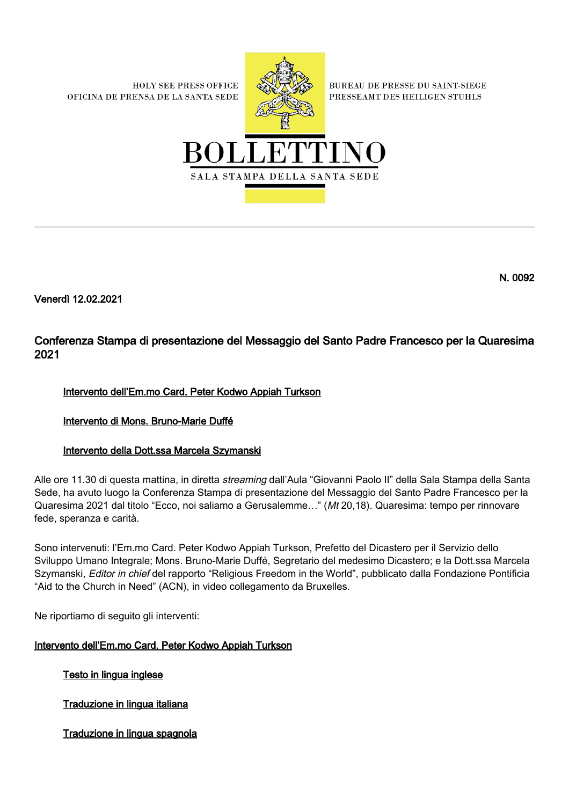**HOLY SEE PRESS OFFICE** OFICINA DE PRENSA DE LA SANTA SEDE



**BUREAU DE PRESSE DU SAINT-SIEGE** PRESSEAMT DES HEILIGEN STUHLS



N. 0092

Venerdì 12.02.2021

# Conferenza Stampa di presentazione del Messaggio del Santo Padre Francesco per la Quaresima 2021

## Intervento dell'Em.mo Card. Peter Kodwo Appiah Turkson

## Intervento di Mons. Bruno-Marie Duffé

## Intervento della Dott.ssa Marcela Szymanski

Alle ore 11.30 di questa mattina, in diretta *streaming* dall'Aula "Giovanni Paolo II" della Sala Stampa della Santa Sede, ha avuto luogo la Conferenza Stampa di presentazione del Messaggio del Santo Padre Francesco per la Quaresima 2021 dal titolo "Ecco, noi saliamo a Gerusalemme…" (Mt 20,18). Quaresima: tempo per rinnovare fede, speranza e carità.

Sono intervenuti: l'Em.mo Card. Peter Kodwo Appiah Turkson, Prefetto del Dicastero per il Servizio dello Sviluppo Umano Integrale; Mons. Bruno-Marie Duffé, Segretario del medesimo Dicastero; e la Dott.ssa Marcela Szymanski, Editor in chief del rapporto "Religious Freedom in the World", pubblicato dalla Fondazione Pontificia "Aid to the Church in Need" (ACN), in video collegamento da Bruxelles.

Ne riportiamo di seguito gli interventi:

## Intervento dell'Em.mo Card. Peter Kodwo Appiah Turkson

Testo in lingua inglese

Traduzione in lingua italiana

Traduzione in lingua spagnola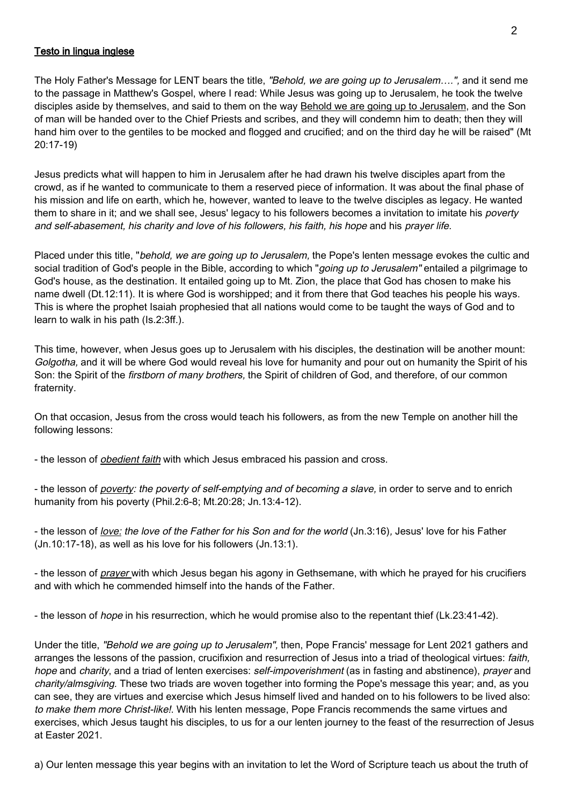#### Testo in lingua inglese

The Holy Father's Message for LENT bears the title, "Behold, we are going up to Jerusalem....", and it send me to the passage in Matthew's Gospel, where I read: While Jesus was going up to Jerusalem, he took the twelve disciples aside by themselves, and said to them on the way **Behold we are going up to Jerusalem**, and the Son of man will be handed over to the Chief Priests and scribes, and they will condemn him to death; then they will hand him over to the gentiles to be mocked and flogged and crucified; and on the third day he will be raised" (Mt 20:17-19)

Jesus predicts what will happen to him in Jerusalem after he had drawn his twelve disciples apart from the crowd, as if he wanted to communicate to them a reserved piece of information. It was about the final phase of his mission and life on earth, which he, however, wanted to leave to the twelve disciples as legacy. He wanted them to share in it; and we shall see, Jesus' legacy to his followers becomes a invitation to imitate his *poverty* and self-abasement, his charity and love of his followers, his faith, his hope and his prayer life.

Placed under this title, "behold, we are going up to Jerusalem, the Pope's lenten message evokes the cultic and social tradition of God's people in the Bible, according to which "*going up to Jerusalem*" entailed a pilgrimage to God's house, as the destination. It entailed going up to Mt. Zion, the place that God has chosen to make his name dwell (Dt.12:11). It is where God is worshipped; and it from there that God teaches his people his ways. This is where the prophet Isaiah prophesied that all nations would come to be taught the ways of God and to learn to walk in his path (Is.2:3ff.).

This time, however, when Jesus goes up to Jerusalem with his disciples, the destination will be another mount: Golgotha, and it will be where God would reveal his love for humanity and pour out on humanity the Spirit of his Son: the Spirit of the *firstborn of many brothers*, the Spirit of children of God, and therefore, of our common fraternity.

On that occasion, Jesus from the cross would teach his followers, as from the new Temple on another hill the following lessons:

- the lesson of *obedient faith* with which Jesus embraced his passion and cross.

- the lesson of *poverty: the poverty of self-emptying and of becoming a slave*, in order to serve and to enrich humanity from his poverty (Phil.2:6-8; Mt.20:28; Jn.13:4-12).

- the lesson of love: the love of the Father for his Son and for the world (Jn.3:16), Jesus' love for his Father (Jn.10:17-18), as well as his love for his followers (Jn.13:1).

- the lesson of prayer with which Jesus began his agony in Gethsemane, with which he prayed for his crucifiers and with which he commended himself into the hands of the Father.

- the lesson of *hope* in his resurrection, which he would promise also to the repentant thief (Lk.23:41-42).

Under the title, "Behold we are going up to Jerusalem", then, Pope Francis' message for Lent 2021 gathers and arranges the lessons of the passion, crucifixion and resurrection of Jesus into a triad of theological virtues: faith, hope and charity, and a triad of lenten exercises: *self-impoverishment* (as in fasting and abstinence), *prayer* and charity/almsgiving. These two triads are woven together into forming the Pope's message this year; and, as you can see, they are virtues and exercise which Jesus himself lived and handed on to his followers to be lived also: to make them more Christ-like!. With his lenten message, Pope Francis recommends the same virtues and exercises, which Jesus taught his disciples, to us for a our lenten journey to the feast of the resurrection of Jesus at Easter 2021.

a) Our lenten message this year begins with an invitation to let the Word of Scripture teach us about the truth of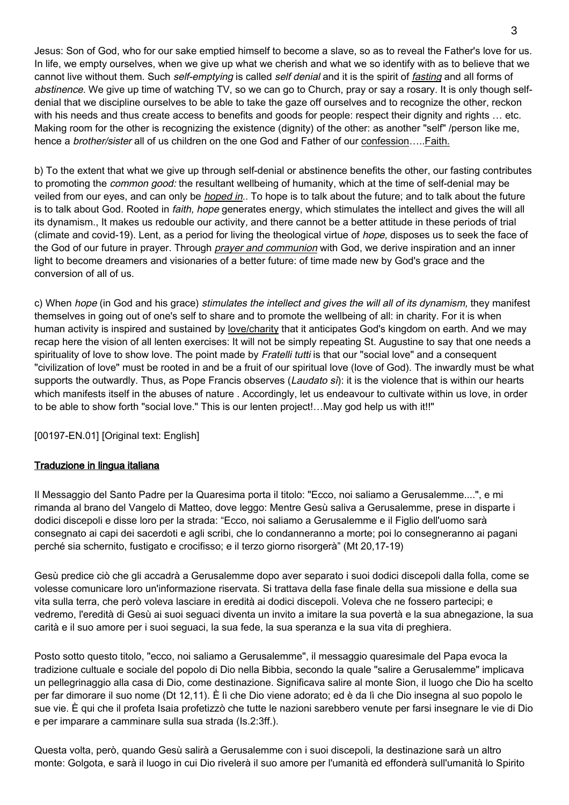Jesus: Son of God, who for our sake emptied himself to become a slave, so as to reveal the Father's love for us. In life, we empty ourselves, when we give up what we cherish and what we so identify with as to believe that we cannot live without them. Such self-emptying is called self denial and it is the spirit of fasting and all forms of abstinence. We give up time of watching TV, so we can go to Church, pray or say a rosary. It is only though selfdenial that we discipline ourselves to be able to take the gaze off ourselves and to recognize the other, reckon with his needs and thus create access to benefits and goods for people: respect their dignity and rights ... etc. Making room for the other is recognizing the existence (dignity) of the other: as another "self" /person like me, hence a brother/sister all of us children on the one God and Father of our confession.....Faith.

b) To the extent that what we give up through self-denial or abstinence benefits the other, our fasting contributes to promoting the *common good:* the resultant wellbeing of humanity, which at the time of self-denial may be veiled from our eyes, and can only be *hoped in*.. To hope is to talk about the future; and to talk about the future is to talk about God. Rooted in *faith, hope* generates energy, which stimulates the intellect and gives the will all its dynamism., It makes us redouble our activity, and there cannot be a better attitude in these periods of trial (climate and covid-19). Lent, as a period for living the theological virtue of hope, disposes us to seek the face of the God of our future in prayer. Through *prayer and communion* with God, we derive inspiration and an inner light to become dreamers and visionaries of a better future: of time made new by God's grace and the conversion of all of us.

c) When hope (in God and his grace) stimulates the intellect and gives the will all of its dynamism, they manifest themselves in going out of one's self to share and to promote the wellbeing of all: in charity. For it is when human activity is inspired and sustained by love/charity that it anticipates God's kingdom on earth. And we may recap here the vision of all lenten exercises: It will not be simply repeating St. Augustine to say that one needs a spirituality of love to show love. The point made by Fratelli tutti is that our "social love" and a consequent "civilization of love" must be rooted in and be a fruit of our spiritual love (love of God). The inwardly must be what supports the outwardly. Thus, as Pope Francis observes (Laudato si): it is the violence that is within our hearts which manifests itself in the abuses of nature . Accordingly, let us endeavour to cultivate within us love, in order to be able to show forth "social love." This is our lenten project!…May god help us with it!!"

[00197-EN.01] [Original text: English]

### Traduzione in lingua italiana

Il Messaggio del Santo Padre per la Quaresima porta il titolo: "Ecco, noi saliamo a Gerusalemme....", e mi rimanda al brano del Vangelo di Matteo, dove leggo: Mentre Gesù saliva a Gerusalemme, prese in disparte i dodici discepoli e disse loro per la strada: "Ecco, noi saliamo a Gerusalemme e il Figlio dell'uomo sarà consegnato ai capi dei sacerdoti e agli scribi, che lo condanneranno a morte; poi lo consegneranno ai pagani perché sia schernito, fustigato e crocifisso; e il terzo giorno risorgerà" (Mt 20,17-19)

Gesù predice ciò che gli accadrà a Gerusalemme dopo aver separato i suoi dodici discepoli dalla folla, come se volesse comunicare loro un'informazione riservata. Si trattava della fase finale della sua missione e della sua vita sulla terra, che però voleva lasciare in eredità ai dodici discepoli. Voleva che ne fossero partecipi; e vedremo, l'eredità di Gesù ai suoi seguaci diventa un invito a imitare la sua povertà e la sua abnegazione, la sua carità e il suo amore per i suoi seguaci, la sua fede, la sua speranza e la sua vita di preghiera.

Posto sotto questo titolo, "ecco, noi saliamo a Gerusalemme", il messaggio quaresimale del Papa evoca la tradizione cultuale e sociale del popolo di Dio nella Bibbia, secondo la quale "salire a Gerusalemme" implicava un pellegrinaggio alla casa di Dio, come destinazione. Significava salire al monte Sion, il luogo che Dio ha scelto per far dimorare il suo nome (Dt 12,11). È lì che Dio viene adorato; ed è da lì che Dio insegna al suo popolo le sue vie. È qui che il profeta Isaia profetizzò che tutte le nazioni sarebbero venute per farsi insegnare le vie di Dio e per imparare a camminare sulla sua strada (Is.2:3ff.).

Questa volta, però, quando Gesù salirà a Gerusalemme con i suoi discepoli, la destinazione sarà un altro monte: Golgota, e sarà il luogo in cui Dio rivelerà il suo amore per l'umanità ed effonderà sull'umanità lo Spirito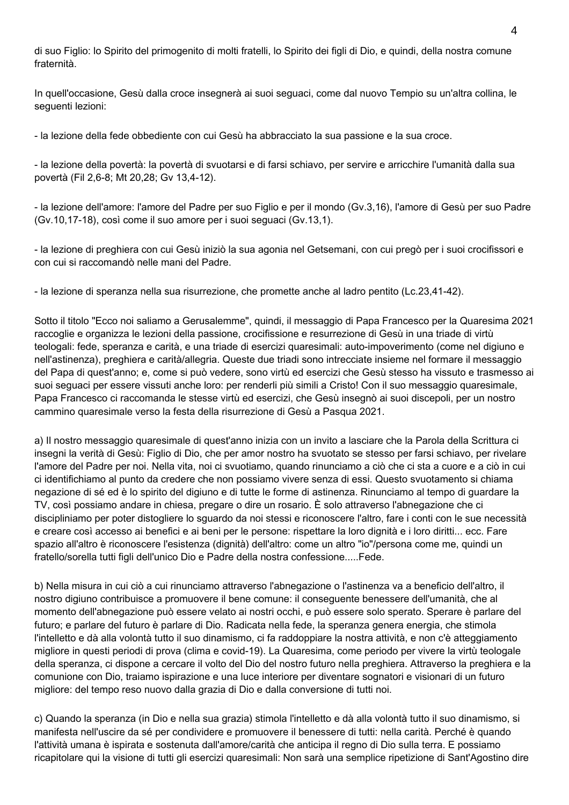di suo Figlio: lo Spirito del primogenito di molti fratelli, lo Spirito dei figli di Dio, e quindi, della nostra comune fraternità.

In quell'occasione, Gesù dalla croce insegnerà ai suoi seguaci, come dal nuovo Tempio su un'altra collina, le seguenti lezioni:

- la lezione della fede obbediente con cui Gesù ha abbracciato la sua passione e la sua croce.

- la lezione della povertà: la povertà di svuotarsi e di farsi schiavo, per servire e arricchire l'umanità dalla sua povertà (Fil 2,6-8; Mt 20,28; Gv 13,4-12).

- la lezione dell'amore: l'amore del Padre per suo Figlio e per il mondo (Gv.3,16), l'amore di Gesù per suo Padre (Gv.10,17-18), così come il suo amore per i suoi seguaci (Gv.13,1).

- la lezione di preghiera con cui Gesù iniziò la sua agonia nel Getsemani, con cui pregò per i suoi crocifissori e con cui si raccomandò nelle mani del Padre.

- la lezione di speranza nella sua risurrezione, che promette anche al ladro pentito (Lc.23,41-42).

Sotto il titolo "Ecco noi saliamo a Gerusalemme", quindi, il messaggio di Papa Francesco per la Quaresima 2021 raccoglie e organizza le lezioni della passione, crocifissione e resurrezione di Gesù in una triade di virtù teologali: fede, speranza e carità, e una triade di esercizi quaresimali: auto-impoverimento (come nel digiuno e nell'astinenza), preghiera e carità/allegria. Queste due triadi sono intrecciate insieme nel formare il messaggio del Papa di quest'anno; e, come si può vedere, sono virtù ed esercizi che Gesù stesso ha vissuto e trasmesso ai suoi seguaci per essere vissuti anche loro: per renderli più simili a Cristo! Con il suo messaggio quaresimale, Papa Francesco ci raccomanda le stesse virtù ed esercizi, che Gesù insegnò ai suoi discepoli, per un nostro cammino quaresimale verso la festa della risurrezione di Gesù a Pasqua 2021.

a) Il nostro messaggio quaresimale di quest'anno inizia con un invito a lasciare che la Parola della Scrittura ci insegni la verità di Gesù: Figlio di Dio, che per amor nostro ha svuotato se stesso per farsi schiavo, per rivelare l'amore del Padre per noi. Nella vita, noi ci svuotiamo, quando rinunciamo a ciò che ci sta a cuore e a ciò in cui ci identifichiamo al punto da credere che non possiamo vivere senza di essi. Questo svuotamento si chiama negazione di sé ed è lo spirito del digiuno e di tutte le forme di astinenza. Rinunciamo al tempo di guardare la TV, così possiamo andare in chiesa, pregare o dire un rosario. È solo attraverso l'abnegazione che ci discipliniamo per poter distogliere lo sguardo da noi stessi e riconoscere l'altro, fare i conti con le sue necessità e creare così accesso ai benefici e ai beni per le persone: rispettare la loro dignità e i loro diritti... ecc. Fare spazio all'altro è riconoscere l'esistenza (dignità) dell'altro: come un altro "io"/persona come me, quindi un fratello/sorella tutti figli dell'unico Dio e Padre della nostra confessione.....Fede.

b) Nella misura in cui ciò a cui rinunciamo attraverso l'abnegazione o l'astinenza va a beneficio dell'altro, il nostro digiuno contribuisce a promuovere il bene comune: il conseguente benessere dell'umanità, che al momento dell'abnegazione può essere velato ai nostri occhi, e può essere solo sperato. Sperare è parlare del futuro; e parlare del futuro è parlare di Dio. Radicata nella fede, la speranza genera energia, che stimola l'intelletto e dà alla volontà tutto il suo dinamismo, ci fa raddoppiare la nostra attività, e non c'è atteggiamento migliore in questi periodi di prova (clima e covid-19). La Quaresima, come periodo per vivere la virtù teologale della speranza, ci dispone a cercare il volto del Dio del nostro futuro nella preghiera. Attraverso la preghiera e la comunione con Dio, traiamo ispirazione e una luce interiore per diventare sognatori e visionari di un futuro migliore: del tempo reso nuovo dalla grazia di Dio e dalla conversione di tutti noi.

c) Quando la speranza (in Dio e nella sua grazia) stimola l'intelletto e dà alla volontà tutto il suo dinamismo, si manifesta nell'uscire da sé per condividere e promuovere il benessere di tutti: nella carità. Perché è quando l'attività umana è ispirata e sostenuta dall'amore/carità che anticipa il regno di Dio sulla terra. E possiamo ricapitolare qui la visione di tutti gli esercizi quaresimali: Non sarà una semplice ripetizione di Sant'Agostino dire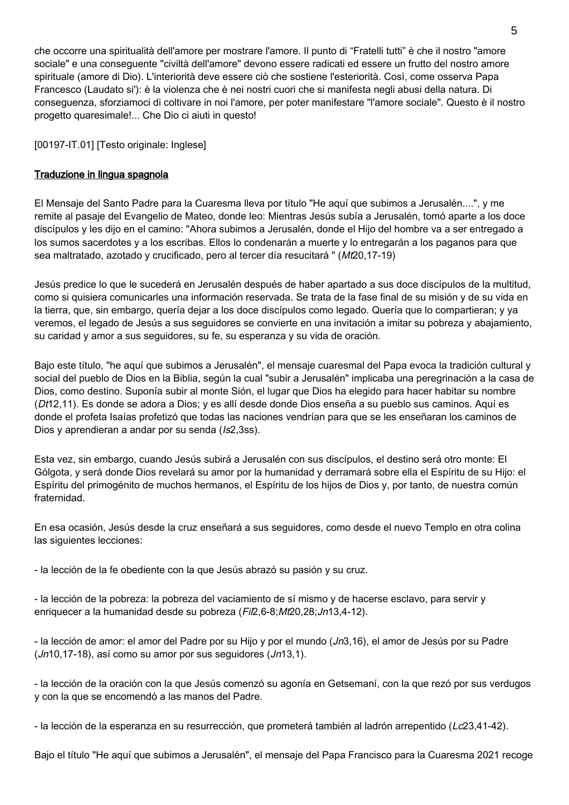che occorre una spiritualità dell'amore per mostrare l'amore. Il punto di "Fratelli tutti" è che il nostro "amore sociale" e una conseguente "civiltà dell'amore" devono essere radicati ed essere un frutto del nostro amore spirituale (amore di Dio). L'interiorità deve essere ciò che sostiene l'esteriorità. Così, come osserva Papa Francesco (Laudato si'): è la violenza che è nei nostri cuori che si manifesta negli abusi della natura. Di conseguenza, sforziamoci di coltivare in noi l'amore, per poter manifestare "l'amore sociale". Questo è il nostro progetto quaresimale!... Che Dio ci aiuti in questo!

## [00197-IT.01] [Testo originale: Inglese]

## Traduzione in lingua spagnola

El Mensaje del Santo Padre para la Cuaresma lleva por título "He aquí que subimos a Jerusalén....", y me remite al pasaje del Evangelio de Mateo, donde leo: Mientras Jesús subía a Jerusalén, tomó aparte a los doce discípulos y les dijo en el camino: "Ahora subimos a Jerusalén, donde el Hijo del hombre va a ser entregado a los sumos sacerdotes y a los escribas. Ellos lo condenarán a muerte y lo entregarán a los paganos para que sea maltratado, azotado y crucificado, pero al tercer día resucitará " (Mt20,17-19)

Jesús predice lo que le sucederá en Jerusalén después de haber apartado a sus doce discípulos de la multitud, como si quisiera comunicarles una información reservada. Se trata de la fase final de su misión y de su vida en la tierra, que, sin embargo, quería dejar a los doce discípulos como legado. Quería que lo compartieran; y ya veremos, el legado de Jesús a sus seguidores se convierte en una invitación a imitar su pobreza y abajamiento, su caridad y amor a sus seguidores, su fe, su esperanza y su vida de oración.

Bajo este título, "he aquí que subimos a Jerusalén", el mensaje cuaresmal del Papa evoca la tradición cultural y social del pueblo de Dios en la Biblia, según la cual "subir a Jerusalén" implicaba una peregrinación a la casa de Dios, como destino. Suponía subir al monte Sión, el lugar que Dios ha elegido para hacer habitar su nombre (Dt12,11). Es donde se adora a Dios; y es allí desde donde Dios enseña a su pueblo sus caminos. Aquí es donde el profeta Isaías profetizó que todas las naciones vendrían para que se les enseñaran los caminos de Dios y aprendieran a andar por su senda (Is2,3ss).

Esta vez, sin embargo, cuando Jesús subirá a Jerusalén con sus discípulos, el destino será otro monte: El Gólgota, y será donde Dios revelará su amor por la humanidad y derramará sobre ella el Espíritu de su Hijo: el Espíritu del primogénito de muchos hermanos, el Espíritu de los hijos de Dios y, por tanto, de nuestra común fraternidad.

En esa ocasión, Jesús desde la cruz enseñará a sus seguidores, como desde el nuevo Templo en otra colina las siguientes lecciones:

- la lección de la fe obediente con la que Jesús abrazó su pasión y su cruz.

- la lección de la pobreza: la pobreza del vaciamiento de sí mismo y de hacerse esclavo, para servir y enriquecer a la humanidad desde su pobreza (Fil2,6-8;Mt20,28;Jn13,4-12).

- la lección de amor: el amor del Padre por su Hijo y por el mundo (Jn3,16), el amor de Jesús por su Padre (Jn10,17-18), así como su amor por sus seguidores (Jn13,1).

- la lección de la oración con la que Jesús comenzó su agonía en Getsemaní, con la que rezó por sus verdugos y con la que se encomendó a las manos del Padre.

- la lección de la esperanza en su resurrección, que prometerá también al ladrón arrepentido (Lc23,41-42).

Bajo el título "He aquí que subimos a Jerusalén", el mensaje del Papa Francisco para la Cuaresma 2021 recoge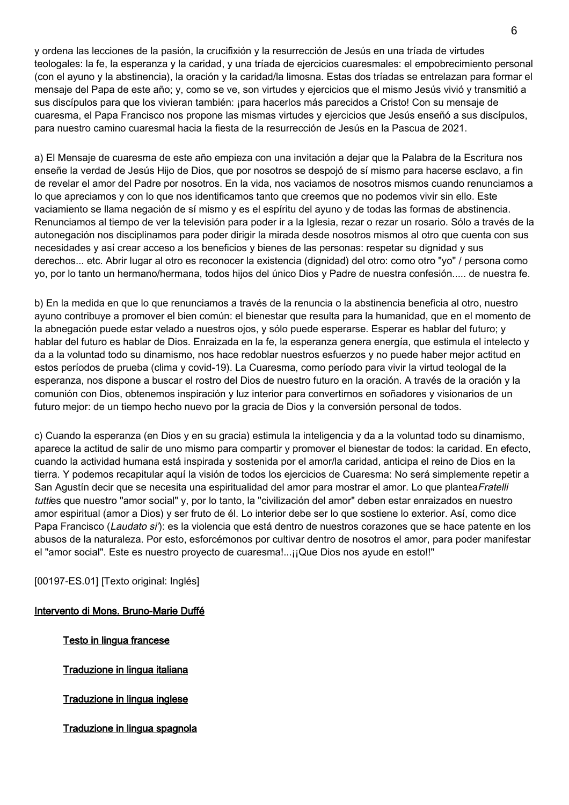y ordena las lecciones de la pasión, la crucifixión y la resurrección de Jesús en una tríada de virtudes teologales: la fe, la esperanza y la caridad, y una tríada de ejercicios cuaresmales: el empobrecimiento personal (con el ayuno y la abstinencia), la oración y la caridad/la limosna. Estas dos tríadas se entrelazan para formar el mensaje del Papa de este año; y, como se ve, son virtudes y ejercicios que el mismo Jesús vivió y transmitió a sus discípulos para que los vivieran también: ¡para hacerlos más parecidos a Cristo! Con su mensaje de cuaresma, el Papa Francisco nos propone las mismas virtudes y ejercicios que Jesús enseñó a sus discípulos, para nuestro camino cuaresmal hacia la fiesta de la resurrección de Jesús en la Pascua de 2021.

a) El Mensaje de cuaresma de este año empieza con una invitación a dejar que la Palabra de la Escritura nos enseñe la verdad de Jesús Hijo de Dios, que por nosotros se despojó de sí mismo para hacerse esclavo, a fin de revelar el amor del Padre por nosotros. En la vida, nos vaciamos de nosotros mismos cuando renunciamos a lo que apreciamos y con lo que nos identificamos tanto que creemos que no podemos vivir sin ello. Este vaciamiento se llama negación de sí mismo y es el espíritu del ayuno y de todas las formas de abstinencia. Renunciamos al tiempo de ver la televisión para poder ir a la Iglesia, rezar o rezar un rosario. Sólo a través de la autonegación nos disciplinamos para poder dirigir la mirada desde nosotros mismos al otro que cuenta con sus necesidades y así crear acceso a los beneficios y bienes de las personas: respetar su dignidad y sus derechos... etc. Abrir lugar al otro es reconocer la existencia (dignidad) del otro: como otro "yo" / persona como yo, por lo tanto un hermano/hermana, todos hijos del único Dios y Padre de nuestra confesión..... de nuestra fe.

b) En la medida en que lo que renunciamos a través de la renuncia o la abstinencia beneficia al otro, nuestro ayuno contribuye a promover el bien común: el bienestar que resulta para la humanidad, que en el momento de la abnegación puede estar velado a nuestros ojos, y sólo puede esperarse. Esperar es hablar del futuro; y hablar del futuro es hablar de Dios. Enraizada en la fe, la esperanza genera energía, que estimula el intelecto y da a la voluntad todo su dinamismo, nos hace redoblar nuestros esfuerzos y no puede haber mejor actitud en estos períodos de prueba (clima y covid-19). La Cuaresma, como período para vivir la virtud teologal de la esperanza, nos dispone a buscar el rostro del Dios de nuestro futuro en la oración. A través de la oración y la comunión con Dios, obtenemos inspiración y luz interior para convertirnos en soñadores y visionarios de un futuro mejor: de un tiempo hecho nuevo por la gracia de Dios y la conversión personal de todos.

c) Cuando la esperanza (en Dios y en su gracia) estimula la inteligencia y da a la voluntad todo su dinamismo, aparece la actitud de salir de uno mismo para compartir y promover el bienestar de todos: la caridad. En efecto, cuando la actividad humana está inspirada y sostenida por el amor/la caridad, anticipa el reino de Dios en la tierra. Y podemos recapitular aquí la visión de todos los ejercicios de Cuaresma: No será simplemente repetir a San Agustín decir que se necesita una espiritualidad del amor para mostrar el amor. Lo que plantea Fratelli tutties que nuestro "amor social" y, por lo tanto, la "civilización del amor" deben estar enraizados en nuestro amor espiritual (amor a Dios) y ser fruto de él. Lo interior debe ser lo que sostiene lo exterior. Así, como dice Papa Francisco (Laudato si'): es la violencia que está dentro de nuestros corazones que se hace patente en los abusos de la naturaleza. Por esto, esforcémonos por cultivar dentro de nosotros el amor, para poder manifestar el "amor social". Este es nuestro proyecto de cuaresma!...¡¡Que Dios nos ayude en esto!!"

[00197-ES.01] [Texto original: Inglés]

### Intervento di Mons. Bruno-Marie Duffé

Testo in lingua francese

Traduzione in lingua italiana

Traduzione in lingua inglese

Traduzione in lingua spagnola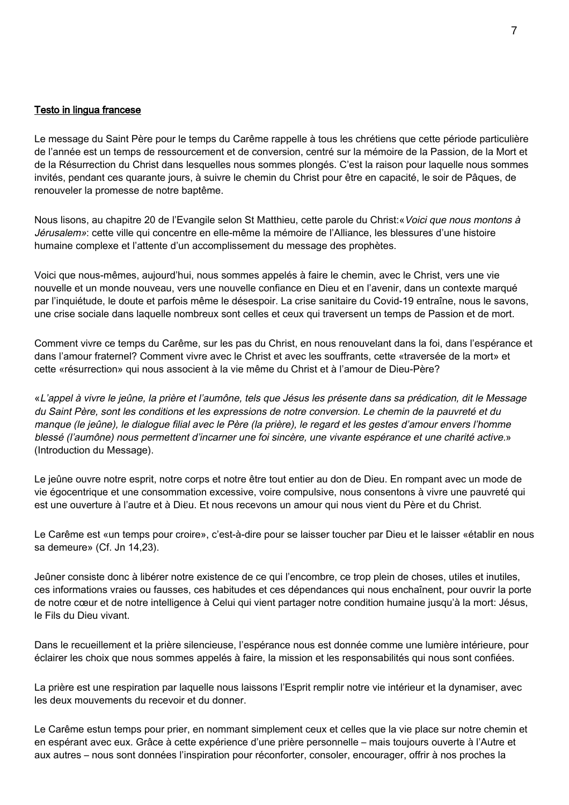#### Testo in lingua francese

Le message du Saint Père pour le temps du Carême rappelle à tous les chrétiens que cette période particulière de l'année est un temps de ressourcement et de conversion, centré sur la mémoire de la Passion, de la Mort et de la Résurrection du Christ dans lesquelles nous sommes plongés. C'est la raison pour laquelle nous sommes invités, pendant ces quarante jours, à suivre le chemin du Christ pour être en capacité, le soir de Pâques, de renouveler la promesse de notre baptême.

Nous lisons, au chapitre 20 de l'Evangile selon St Matthieu, cette parole du Christ: «Voici que nous montons à Jérusalem»: cette ville qui concentre en elle-même la mémoire de l'Alliance, les blessures d'une histoire humaine complexe et l'attente d'un accomplissement du message des prophètes.

Voici que nous-mêmes, aujourd'hui, nous sommes appelés à faire le chemin, avec le Christ, vers une vie nouvelle et un monde nouveau, vers une nouvelle confiance en Dieu et en l'avenir, dans un contexte marqué par l'inquiétude, le doute et parfois même le désespoir. La crise sanitaire du Covid-19 entraîne, nous le savons, une crise sociale dans laquelle nombreux sont celles et ceux qui traversent un temps de Passion et de mort.

Comment vivre ce temps du Carême, sur les pas du Christ, en nous renouvelant dans la foi, dans l'espérance et dans l'amour fraternel? Comment vivre avec le Christ et avec les souffrants, cette «traversée de la mort» et cette «résurrection» qui nous associent à la vie même du Christ et à l'amour de Dieu-Père?

«L'appel à vivre le jeûne, la prière et l'aumône, tels que Jésus les présente dans sa prédication, dit le Message du Saint Père, sont les conditions et les expressions de notre conversion. Le chemin de la pauvreté et du manque (le jeûne), le dialogue filial avec le Père (la prière), le regard et les gestes d'amour envers l'homme blessé (l'aumône) nous permettent d'incarner une foi sincère, une vivante espérance et une charité active.» (Introduction du Message).

Le jeûne ouvre notre esprit, notre corps et notre être tout entier au don de Dieu. En rompant avec un mode de vie égocentrique et une consommation excessive, voire compulsive, nous consentons à vivre une pauvreté qui est une ouverture à l'autre et à Dieu. Et nous recevons un amour qui nous vient du Père et du Christ.

Le Carême est «un temps pour croire», c'est-à-dire pour se laisser toucher par Dieu et le laisser «établir en nous sa demeure» (Cf. Jn 14,23).

Jeûner consiste donc à libérer notre existence de ce qui l'encombre, ce trop plein de choses, utiles et inutiles, ces informations vraies ou fausses, ces habitudes et ces dépendances qui nous enchaînent, pour ouvrir la porte de notre cœur et de notre intelligence à Celui qui vient partager notre condition humaine jusqu'à la mort: Jésus, le Fils du Dieu vivant.

Dans le recueillement et la prière silencieuse, l'espérance nous est donnée comme une lumière intérieure, pour éclairer les choix que nous sommes appelés à faire, la mission et les responsabilités qui nous sont confiées.

La prière est une respiration par laquelle nous laissons l'Esprit remplir notre vie intérieur et la dynamiser, avec les deux mouvements du recevoir et du donner.

Le Carême estun temps pour prier, en nommant simplement ceux et celles que la vie place sur notre chemin et en espérant avec eux. Grâce à cette expérience d'une prière personnelle – mais toujours ouverte à l'Autre et aux autres – nous sont données l'inspiration pour réconforter, consoler, encourager, offrir à nos proches la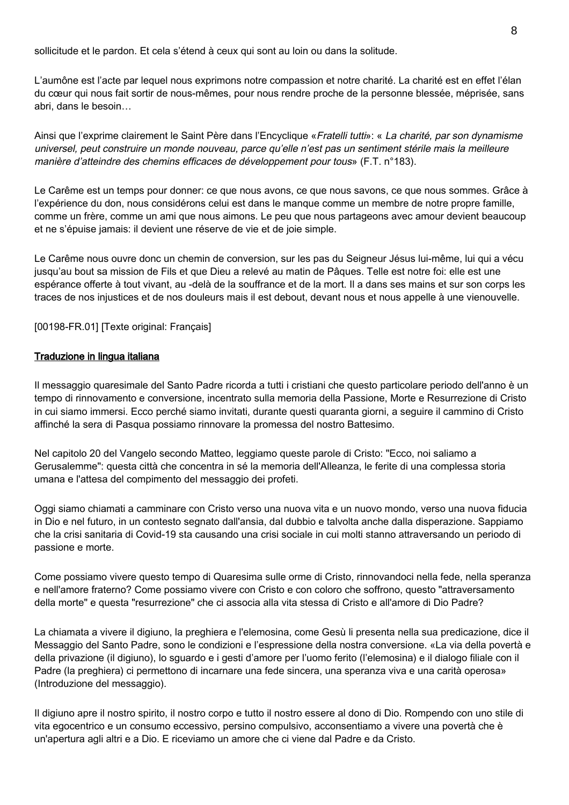sollicitude et le pardon. Et cela s'étend à ceux qui sont au loin ou dans la solitude.

L'aumône est l'acte par lequel nous exprimons notre compassion et notre charité. La charité est en effet l'élan du cœur qui nous fait sortir de nous-mêmes, pour nous rendre proche de la personne blessée, méprisée, sans abri, dans le besoin…

Ainsi que l'exprime clairement le Saint Père dans l'Encyclique «Fratelli tutti»: « La charité, par son dynamisme universel, peut construire un monde nouveau, parce qu'elle n'est pas un sentiment stérile mais la meilleure manière d'atteindre des chemins efficaces de développement pour tous» (F.T. n°183).

Le Carême est un temps pour donner: ce que nous avons, ce que nous savons, ce que nous sommes. Grâce à l'expérience du don, nous considérons celui est dans le manque comme un membre de notre propre famille, comme un frère, comme un ami que nous aimons. Le peu que nous partageons avec amour devient beaucoup et ne s'épuise jamais: il devient une réserve de vie et de joie simple.

Le Carême nous ouvre donc un chemin de conversion, sur les pas du Seigneur Jésus lui-même, lui qui a vécu jusqu'au bout sa mission de Fils et que Dieu a relevé au matin de Pâques. Telle est notre foi: elle est une espérance offerte à tout vivant, au -delà de la souffrance et de la mort. Il a dans ses mains et sur son corps les traces de nos injustices et de nos douleurs mais il est debout, devant nous et nous appelle à une vienouvelle.

[00198-FR.01] [Texte original: Français]

#### Traduzione in lingua italiana

Il messaggio quaresimale del Santo Padre ricorda a tutti i cristiani che questo particolare periodo dell'anno è un tempo di rinnovamento e conversione, incentrato sulla memoria della Passione, Morte e Resurrezione di Cristo in cui siamo immersi. Ecco perché siamo invitati, durante questi quaranta giorni, a seguire il cammino di Cristo affinché la sera di Pasqua possiamo rinnovare la promessa del nostro Battesimo.

Nel capitolo 20 del Vangelo secondo Matteo, leggiamo queste parole di Cristo: "Ecco, noi saliamo a Gerusalemme": questa città che concentra in sé la memoria dell'Alleanza, le ferite di una complessa storia umana e l'attesa del compimento del messaggio dei profeti.

Oggi siamo chiamati a camminare con Cristo verso una nuova vita e un nuovo mondo, verso una nuova fiducia in Dio e nel futuro, in un contesto segnato dall'ansia, dal dubbio e talvolta anche dalla disperazione. Sappiamo che la crisi sanitaria di Covid-19 sta causando una crisi sociale in cui molti stanno attraversando un periodo di passione e morte.

Come possiamo vivere questo tempo di Quaresima sulle orme di Cristo, rinnovandoci nella fede, nella speranza e nell'amore fraterno? Come possiamo vivere con Cristo e con coloro che soffrono, questo "attraversamento della morte" e questa "resurrezione" che ci associa alla vita stessa di Cristo e all'amore di Dio Padre?

La chiamata a vivere il digiuno, la preghiera e l'elemosina, come Gesù li presenta nella sua predicazione, dice il Messaggio del Santo Padre, sono le condizioni e l'espressione della nostra conversione. «La via della povertà e della privazione (il digiuno), lo sguardo e i gesti d'amore per l'uomo ferito (l'elemosina) e il dialogo filiale con il Padre (la preghiera) ci permettono di incarnare una fede sincera, una speranza viva e una carità operosa» (Introduzione del messaggio).

Il digiuno apre il nostro spirito, il nostro corpo e tutto il nostro essere al dono di Dio. Rompendo con uno stile di vita egocentrico e un consumo eccessivo, persino compulsivo, acconsentiamo a vivere una povertà che è un'apertura agli altri e a Dio. E riceviamo un amore che ci viene dal Padre e da Cristo.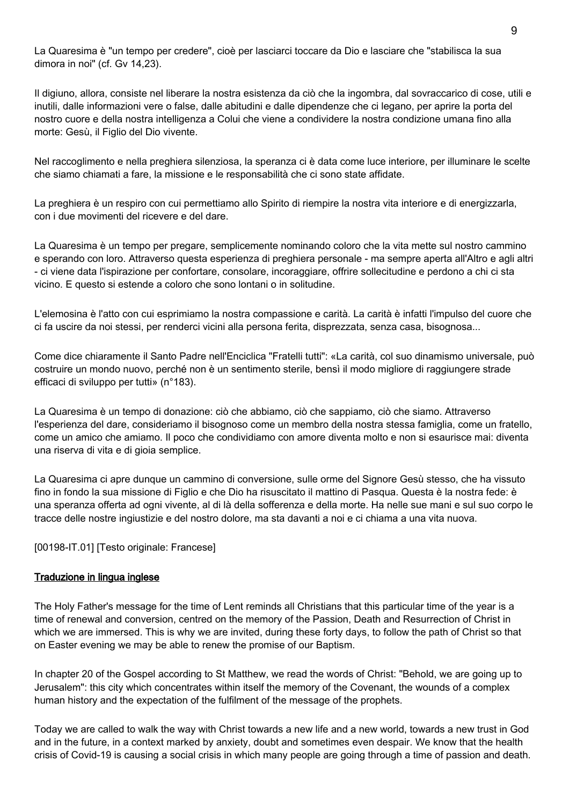La Quaresima è "un tempo per credere", cioè per lasciarci toccare da Dio e lasciare che "stabilisca la sua dimora in noi" (cf. Gv 14,23).

Il digiuno, allora, consiste nel liberare la nostra esistenza da ciò che la ingombra, dal sovraccarico di cose, utili e inutili, dalle informazioni vere o false, dalle abitudini e dalle dipendenze che ci legano, per aprire la porta del nostro cuore e della nostra intelligenza a Colui che viene a condividere la nostra condizione umana fino alla morte: Gesù, il Figlio del Dio vivente.

Nel raccoglimento e nella preghiera silenziosa, la speranza ci è data come luce interiore, per illuminare le scelte che siamo chiamati a fare, la missione e le responsabilità che ci sono state affidate.

La preghiera è un respiro con cui permettiamo allo Spirito di riempire la nostra vita interiore e di energizzarla, con i due movimenti del ricevere e del dare.

La Quaresima è un tempo per pregare, semplicemente nominando coloro che la vita mette sul nostro cammino e sperando con loro. Attraverso questa esperienza di preghiera personale - ma sempre aperta all'Altro e agli altri - ci viene data l'ispirazione per confortare, consolare, incoraggiare, offrire sollecitudine e perdono a chi ci sta vicino. E questo si estende a coloro che sono lontani o in solitudine.

L'elemosina è l'atto con cui esprimiamo la nostra compassione e carità. La carità è infatti l'impulso del cuore che ci fa uscire da noi stessi, per renderci vicini alla persona ferita, disprezzata, senza casa, bisognosa...

Come dice chiaramente il Santo Padre nell'Enciclica "Fratelli tutti": «La carità, col suo dinamismo universale, può costruire un mondo nuovo, perché non è un sentimento sterile, bensì il modo migliore di raggiungere strade efficaci di sviluppo per tutti» (n°183).

La Quaresima è un tempo di donazione: ciò che abbiamo, ciò che sappiamo, ciò che siamo. Attraverso l'esperienza del dare, consideriamo il bisognoso come un membro della nostra stessa famiglia, come un fratello, come un amico che amiamo. Il poco che condividiamo con amore diventa molto e non si esaurisce mai: diventa una riserva di vita e di gioia semplice.

La Quaresima ci apre dunque un cammino di conversione, sulle orme del Signore Gesù stesso, che ha vissuto fino in fondo la sua missione di Figlio e che Dio ha risuscitato il mattino di Pasqua. Questa è la nostra fede: è una speranza offerta ad ogni vivente, al di là della sofferenza e della morte. Ha nelle sue mani e sul suo corpo le tracce delle nostre ingiustizie e del nostro dolore, ma sta davanti a noi e ci chiama a una vita nuova.

[00198-IT.01] [Testo originale: Francese]

### Traduzione in lingua inglese

The Holy Father's message for the time of Lent reminds all Christians that this particular time of the year is a time of renewal and conversion, centred on the memory of the Passion, Death and Resurrection of Christ in which we are immersed. This is why we are invited, during these forty days, to follow the path of Christ so that on Easter evening we may be able to renew the promise of our Baptism.

In chapter 20 of the Gospel according to St Matthew, we read the words of Christ: "Behold, we are going up to Jerusalem": this city which concentrates within itself the memory of the Covenant, the wounds of a complex human history and the expectation of the fulfilment of the message of the prophets.

Today we are called to walk the way with Christ towards a new life and a new world, towards a new trust in God and in the future, in a context marked by anxiety, doubt and sometimes even despair. We know that the health crisis of Covid-19 is causing a social crisis in which many people are going through a time of passion and death.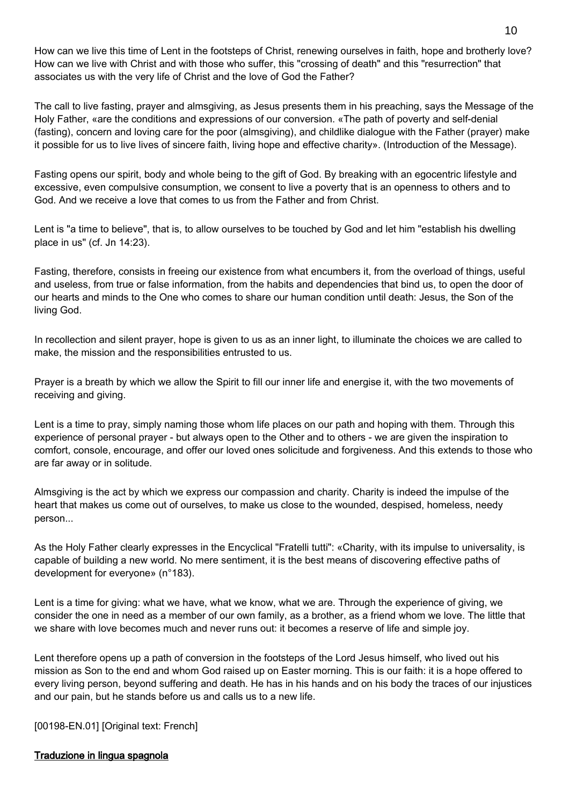How can we live this time of Lent in the footsteps of Christ, renewing ourselves in faith, hope and brotherly love? How can we live with Christ and with those who suffer, this "crossing of death" and this "resurrection" that associates us with the very life of Christ and the love of God the Father?

The call to live fasting, prayer and almsgiving, as Jesus presents them in his preaching, says the Message of the Holy Father, «are the conditions and expressions of our conversion. «The path of poverty and self-denial (fasting), concern and loving care for the poor (almsgiving), and childlike dialogue with the Father (prayer) make it possible for us to live lives of sincere faith, living hope and effective charity». (Introduction of the Message).

Fasting opens our spirit, body and whole being to the gift of God. By breaking with an egocentric lifestyle and excessive, even compulsive consumption, we consent to live a poverty that is an openness to others and to God. And we receive a love that comes to us from the Father and from Christ.

Lent is "a time to believe", that is, to allow ourselves to be touched by God and let him "establish his dwelling place in us" (cf. Jn 14:23).

Fasting, therefore, consists in freeing our existence from what encumbers it, from the overload of things, useful and useless, from true or false information, from the habits and dependencies that bind us, to open the door of our hearts and minds to the One who comes to share our human condition until death: Jesus, the Son of the living God.

In recollection and silent prayer, hope is given to us as an inner light, to illuminate the choices we are called to make, the mission and the responsibilities entrusted to us.

Prayer is a breath by which we allow the Spirit to fill our inner life and energise it, with the two movements of receiving and giving.

Lent is a time to pray, simply naming those whom life places on our path and hoping with them. Through this experience of personal prayer - but always open to the Other and to others - we are given the inspiration to comfort, console, encourage, and offer our loved ones solicitude and forgiveness. And this extends to those who are far away or in solitude.

Almsgiving is the act by which we express our compassion and charity. Charity is indeed the impulse of the heart that makes us come out of ourselves, to make us close to the wounded, despised, homeless, needy person...

As the Holy Father clearly expresses in the Encyclical "Fratelli tutti": «Charity, with its impulse to universality, is capable of building a new world. No mere sentiment, it is the best means of discovering effective paths of development for everyone» (n°183).

Lent is a time for giving: what we have, what we know, what we are. Through the experience of giving, we consider the one in need as a member of our own family, as a brother, as a friend whom we love. The little that we share with love becomes much and never runs out: it becomes a reserve of life and simple joy.

Lent therefore opens up a path of conversion in the footsteps of the Lord Jesus himself, who lived out his mission as Son to the end and whom God raised up on Easter morning. This is our faith: it is a hope offered to every living person, beyond suffering and death. He has in his hands and on his body the traces of our injustices and our pain, but he stands before us and calls us to a new life.

[00198-EN.01] [Original text: French]

#### Traduzione in lingua spagnola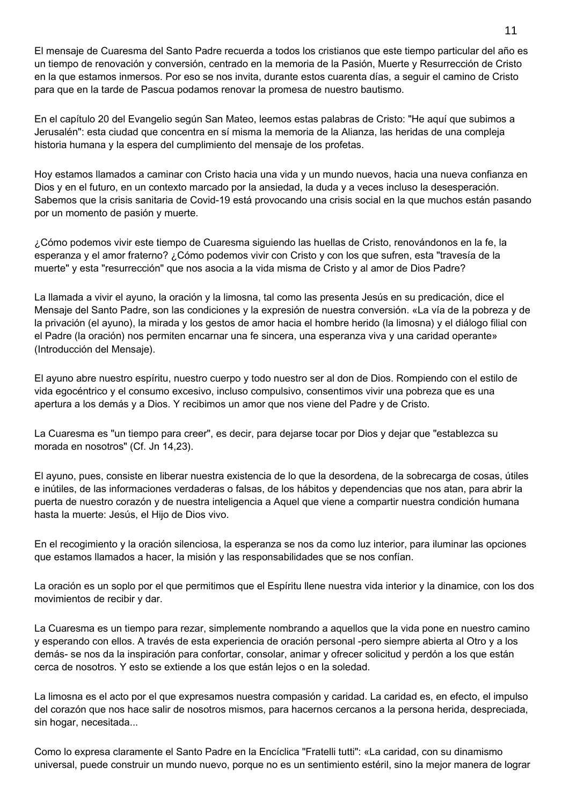El mensaje de Cuaresma del Santo Padre recuerda a todos los cristianos que este tiempo particular del año es un tiempo de renovación y conversión, centrado en la memoria de la Pasión, Muerte y Resurrección de Cristo en la que estamos inmersos. Por eso se nos invita, durante estos cuarenta días, a seguir el camino de Cristo para que en la tarde de Pascua podamos renovar la promesa de nuestro bautismo.

En el capítulo 20 del Evangelio según San Mateo, leemos estas palabras de Cristo: "He aquí que subimos a Jerusalén": esta ciudad que concentra en sí misma la memoria de la Alianza, las heridas de una compleja historia humana y la espera del cumplimiento del mensaje de los profetas.

Hoy estamos llamados a caminar con Cristo hacia una vida y un mundo nuevos, hacia una nueva confianza en Dios y en el futuro, en un contexto marcado por la ansiedad, la duda y a veces incluso la desesperación. Sabemos que la crisis sanitaria de Covid-19 está provocando una crisis social en la que muchos están pasando por un momento de pasión y muerte.

¿Cómo podemos vivir este tiempo de Cuaresma siguiendo las huellas de Cristo, renovándonos en la fe, la esperanza y el amor fraterno? ¿Cómo podemos vivir con Cristo y con los que sufren, esta "travesía de la muerte" y esta "resurrección" que nos asocia a la vida misma de Cristo y al amor de Dios Padre?

La llamada a vivir el ayuno, la oración y la limosna, tal como las presenta Jesús en su predicación, dice el Mensaje del Santo Padre, son las condiciones y la expresión de nuestra conversión. «La vía de la pobreza y de la privación (el ayuno), la mirada y los gestos de amor hacia el hombre herido (la limosna) y el diálogo filial con el Padre (la oración) nos permiten encarnar una fe sincera, una esperanza viva y una caridad operante» (Introducción del Mensaje).

El ayuno abre nuestro espíritu, nuestro cuerpo y todo nuestro ser al don de Dios. Rompiendo con el estilo de vida egocéntrico y el consumo excesivo, incluso compulsivo, consentimos vivir una pobreza que es una apertura a los demás y a Dios. Y recibimos un amor que nos viene del Padre y de Cristo.

La Cuaresma es "un tiempo para creer", es decir, para dejarse tocar por Dios y dejar que "establezca su morada en nosotros" (Cf. Jn 14,23).

El ayuno, pues, consiste en liberar nuestra existencia de lo que la desordena, de la sobrecarga de cosas, útiles e inútiles, de las informaciones verdaderas o falsas, de los hábitos y dependencias que nos atan, para abrir la puerta de nuestro corazón y de nuestra inteligencia a Aquel que viene a compartir nuestra condición humana hasta la muerte: Jesús, el Hijo de Dios vivo.

En el recogimiento y la oración silenciosa, la esperanza se nos da como luz interior, para iluminar las opciones que estamos llamados a hacer, la misión y las responsabilidades que se nos confían.

La oración es un soplo por el que permitimos que el Espíritu llene nuestra vida interior y la dinamice, con los dos movimientos de recibir y dar.

La Cuaresma es un tiempo para rezar, simplemente nombrando a aquellos que la vida pone en nuestro camino y esperando con ellos. A través de esta experiencia de oración personal -pero siempre abierta al Otro y a los demás- se nos da la inspiración para confortar, consolar, animar y ofrecer solicitud y perdón a los que están cerca de nosotros. Y esto se extiende a los que están lejos o en la soledad.

La limosna es el acto por el que expresamos nuestra compasión y caridad. La caridad es, en efecto, el impulso del corazón que nos hace salir de nosotros mismos, para hacernos cercanos a la persona herida, despreciada, sin hogar, necesitada...

Como lo expresa claramente el Santo Padre en la Encíclica "Fratelli tutti": «La caridad, con su dinamismo universal, puede construir un mundo nuevo, porque no es un sentimiento estéril, sino la mejor manera de lograr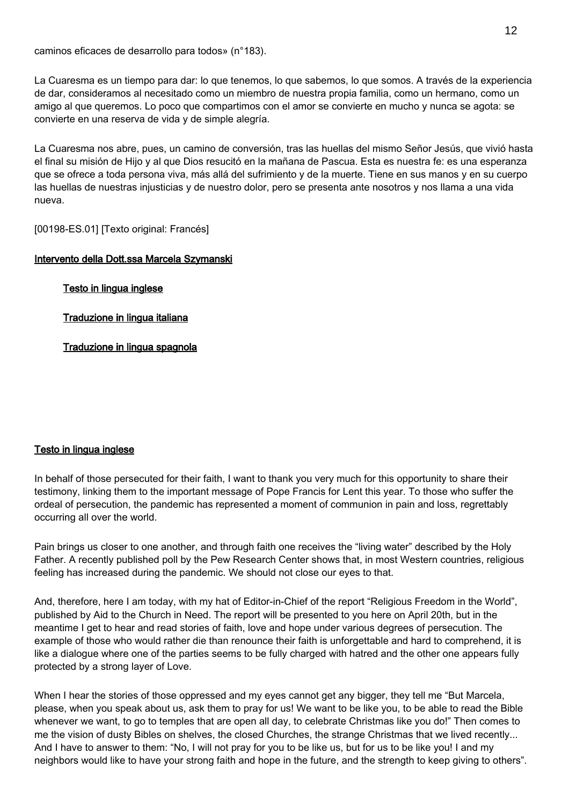caminos eficaces de desarrollo para todos» (n°183).

La Cuaresma es un tiempo para dar: lo que tenemos, lo que sabemos, lo que somos. A través de la experiencia de dar, consideramos al necesitado como un miembro de nuestra propia familia, como un hermano, como un amigo al que queremos. Lo poco que compartimos con el amor se convierte en mucho y nunca se agota: se convierte en una reserva de vida y de simple alegría.

La Cuaresma nos abre, pues, un camino de conversión, tras las huellas del mismo Señor Jesús, que vivió hasta el final su misión de Hijo y al que Dios resucitó en la mañana de Pascua. Esta es nuestra fe: es una esperanza que se ofrece a toda persona viva, más allá del sufrimiento y de la muerte. Tiene en sus manos y en su cuerpo las huellas de nuestras injusticias y de nuestro dolor, pero se presenta ante nosotros y nos llama a una vida nueva.

[00198-ES.01] [Texto original: Francés]

### Intervento della Dott.ssa Marcela Szymanski

Testo in lingua inglese

Traduzione in lingua italiana

Traduzione in lingua spagnola

#### Testo in lingua inglese

In behalf of those persecuted for their faith, I want to thank you very much for this opportunity to share their testimony, linking them to the important message of Pope Francis for Lent this year. To those who suffer the ordeal of persecution, the pandemic has represented a moment of communion in pain and loss, regrettably occurring all over the world.

Pain brings us closer to one another, and through faith one receives the "living water" described by the Holy Father. A recently published poll by the Pew Research Center shows that, in most Western countries, religious feeling has increased during the pandemic. We should not close our eyes to that.

And, therefore, here I am today, with my hat of Editor-in-Chief of the report "Religious Freedom in the World", published by Aid to the Church in Need. The report will be presented to you here on April 20th, but in the meantime I get to hear and read stories of faith, love and hope under various degrees of persecution. The example of those who would rather die than renounce their faith is unforgettable and hard to comprehend, it is like a dialogue where one of the parties seems to be fully charged with hatred and the other one appears fully protected by a strong layer of Love.

When I hear the stories of those oppressed and my eyes cannot get any bigger, they tell me "But Marcela, please, when you speak about us, ask them to pray for us! We want to be like you, to be able to read the Bible whenever we want, to go to temples that are open all day, to celebrate Christmas like you do!" Then comes to me the vision of dusty Bibles on shelves, the closed Churches, the strange Christmas that we lived recently... And I have to answer to them: "No, I will not pray for you to be like us, but for us to be like you! I and my neighbors would like to have your strong faith and hope in the future, and the strength to keep giving to others".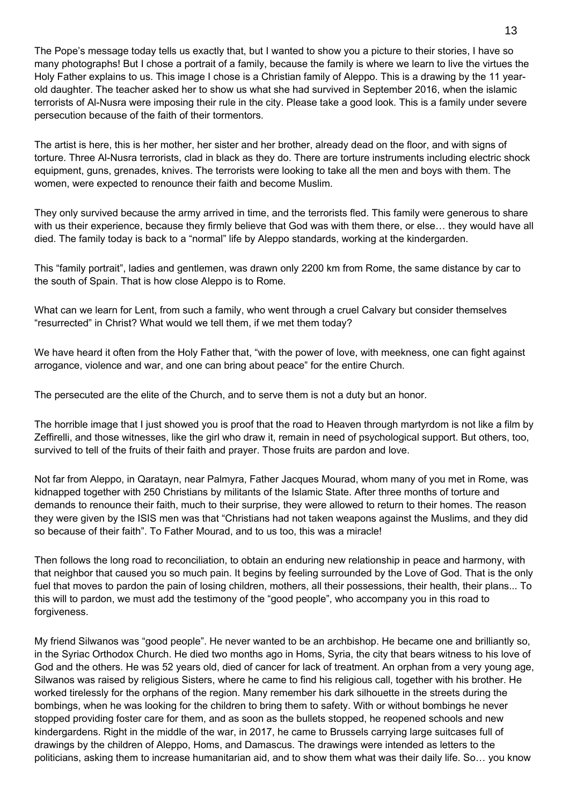The Pope's message today tells us exactly that, but I wanted to show you a picture to their stories, I have so many photographs! But I chose a portrait of a family, because the family is where we learn to live the virtues the Holy Father explains to us. This image I chose is a Christian family of Aleppo. This is a drawing by the 11 yearold daughter. The teacher asked her to show us what she had survived in September 2016, when the islamic terrorists of Al-Nusra were imposing their rule in the city. Please take a good look. This is a family under severe persecution because of the faith of their tormentors.

The artist is here, this is her mother, her sister and her brother, already dead on the floor, and with signs of torture. Three Al-Nusra terrorists, clad in black as they do. There are torture instruments including electric shock equipment, guns, grenades, knives. The terrorists were looking to take all the men and boys with them. The women, were expected to renounce their faith and become Muslim.

They only survived because the army arrived in time, and the terrorists fled. This family were generous to share with us their experience, because they firmly believe that God was with them there, or else… they would have all died. The family today is back to a "normal" life by Aleppo standards, working at the kindergarden.

This "family portrait", ladies and gentlemen, was drawn only 2200 km from Rome, the same distance by car to the south of Spain. That is how close Aleppo is to Rome.

What can we learn for Lent, from such a family, who went through a cruel Calvary but consider themselves "resurrected" in Christ? What would we tell them, if we met them today?

We have heard it often from the Holy Father that, "with the power of love, with meekness, one can fight against arrogance, violence and war, and one can bring about peace" for the entire Church.

The persecuted are the elite of the Church, and to serve them is not a duty but an honor.

The horrible image that I just showed you is proof that the road to Heaven through martyrdom is not like a film by Zeffirelli, and those witnesses, like the girl who draw it, remain in need of psychological support. But others, too, survived to tell of the fruits of their faith and prayer. Those fruits are pardon and love.

Not far from Aleppo, in Qaratayn, near Palmyra, Father Jacques Mourad, whom many of you met in Rome, was kidnapped together with 250 Christians by militants of the Islamic State. After three months of torture and demands to renounce their faith, much to their surprise, they were allowed to return to their homes. The reason they were given by the ISIS men was that "Christians had not taken weapons against the Muslims, and they did so because of their faith". To Father Mourad, and to us too, this was a miracle!

Then follows the long road to reconciliation, to obtain an enduring new relationship in peace and harmony, with that neighbor that caused you so much pain. It begins by feeling surrounded by the Love of God. That is the only fuel that moves to pardon the pain of losing children, mothers, all their possessions, their health, their plans... To this will to pardon, we must add the testimony of the "good people", who accompany you in this road to forgiveness.

My friend Silwanos was "good people". He never wanted to be an archbishop. He became one and brilliantly so, in the Syriac Orthodox Church. He died two months ago in Homs, Syria, the city that bears witness to his love of God and the others. He was 52 years old, died of cancer for lack of treatment. An orphan from a very young age, Silwanos was raised by religious Sisters, where he came to find his religious call, together with his brother. He worked tirelessly for the orphans of the region. Many remember his dark silhouette in the streets during the bombings, when he was looking for the children to bring them to safety. With or without bombings he never stopped providing foster care for them, and as soon as the bullets stopped, he reopened schools and new kindergardens. Right in the middle of the war, in 2017, he came to Brussels carrying large suitcases full of drawings by the children of Aleppo, Homs, and Damascus. The drawings were intended as letters to the politicians, asking them to increase humanitarian aid, and to show them what was their daily life. So… you know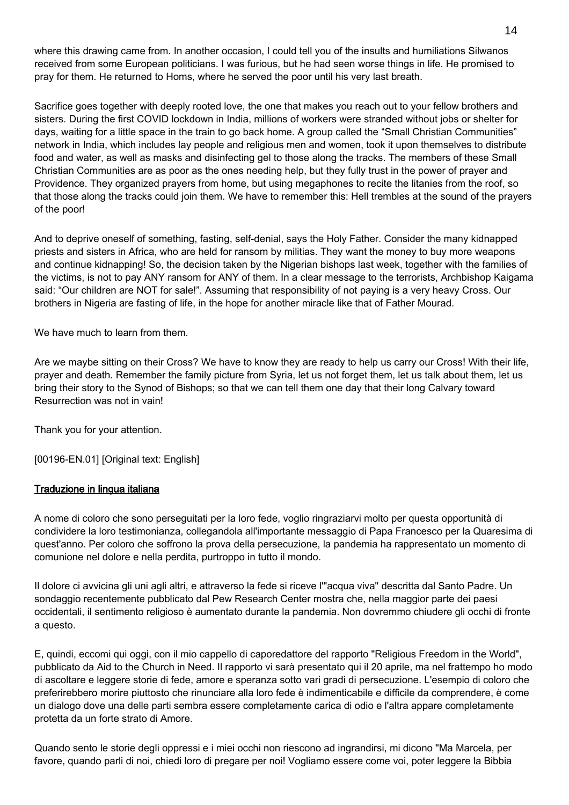where this drawing came from. In another occasion, I could tell you of the insults and humiliations Silwanos received from some European politicians. I was furious, but he had seen worse things in life. He promised to pray for them. He returned to Homs, where he served the poor until his very last breath.

Sacrifice goes together with deeply rooted love, the one that makes you reach out to your fellow brothers and sisters. During the first COVID lockdown in India, millions of workers were stranded without jobs or shelter for days, waiting for a little space in the train to go back home. A group called the "Small Christian Communities" network in India, which includes lay people and religious men and women, took it upon themselves to distribute food and water, as well as masks and disinfecting gel to those along the tracks. The members of these Small Christian Communities are as poor as the ones needing help, but they fully trust in the power of prayer and Providence. They organized prayers from home, but using megaphones to recite the litanies from the roof, so that those along the tracks could join them. We have to remember this: Hell trembles at the sound of the prayers of the poor!

And to deprive oneself of something, fasting, self-denial, says the Holy Father. Consider the many kidnapped priests and sisters in Africa, who are held for ransom by militias. They want the money to buy more weapons and continue kidnapping! So, the decision taken by the Nigerian bishops last week, together with the families of the victims, is not to pay ANY ransom for ANY of them. In a clear message to the terrorists, Archbishop Kaigama said: "Our children are NOT for sale!". Assuming that responsibility of not paying is a very heavy Cross. Our brothers in Nigeria are fasting of life, in the hope for another miracle like that of Father Mourad.

We have much to learn from them.

Are we maybe sitting on their Cross? We have to know they are ready to help us carry our Cross! With their life, prayer and death. Remember the family picture from Syria, let us not forget them, let us talk about them, let us bring their story to the Synod of Bishops; so that we can tell them one day that their long Calvary toward Resurrection was not in vain!

Thank you for your attention.

[00196-EN.01] [Original text: English]

### Traduzione in lingua italiana

A nome di coloro che sono perseguitati per la loro fede, voglio ringraziarvi molto per questa opportunità di condividere la loro testimonianza, collegandola all'importante messaggio di Papa Francesco per la Quaresima di quest'anno. Per coloro che soffrono la prova della persecuzione, la pandemia ha rappresentato un momento di comunione nel dolore e nella perdita, purtroppo in tutto il mondo.

Il dolore ci avvicina gli uni agli altri, e attraverso la fede si riceve l'"acqua viva" descritta dal Santo Padre. Un sondaggio recentemente pubblicato dal Pew Research Center mostra che, nella maggior parte dei paesi occidentali, il sentimento religioso è aumentato durante la pandemia. Non dovremmo chiudere gli occhi di fronte a questo.

E, quindi, eccomi qui oggi, con il mio cappello di caporedattore del rapporto "Religious Freedom in the World", pubblicato da Aid to the Church in Need. Il rapporto vi sarà presentato qui il 20 aprile, ma nel frattempo ho modo di ascoltare e leggere storie di fede, amore e speranza sotto vari gradi di persecuzione. L'esempio di coloro che preferirebbero morire piuttosto che rinunciare alla loro fede è indimenticabile e difficile da comprendere, è come un dialogo dove una delle parti sembra essere completamente carica di odio e l'altra appare completamente protetta da un forte strato di Amore.

Quando sento le storie degli oppressi e i miei occhi non riescono ad ingrandirsi, mi dicono "Ma Marcela, per favore, quando parli di noi, chiedi loro di pregare per noi! Vogliamo essere come voi, poter leggere la Bibbia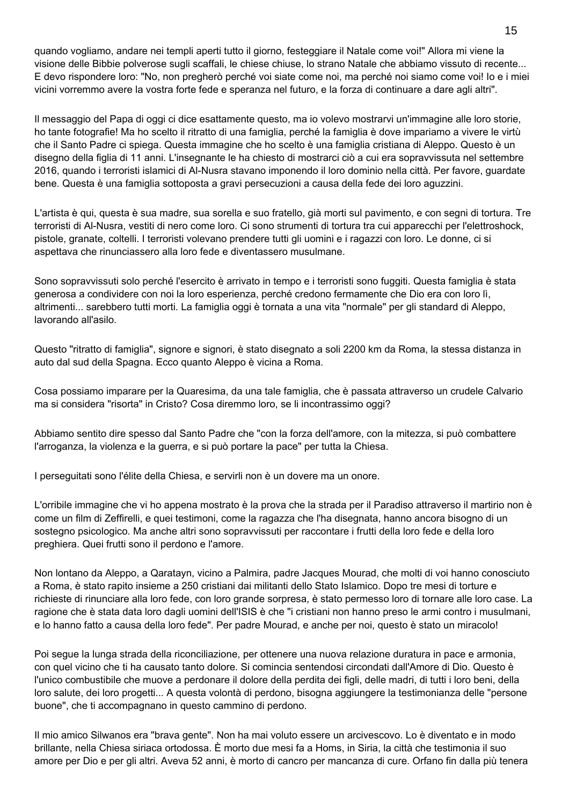quando vogliamo, andare nei templi aperti tutto il giorno, festeggiare il Natale come voi!" Allora mi viene la visione delle Bibbie polverose sugli scaffali, le chiese chiuse, lo strano Natale che abbiamo vissuto di recente... E devo rispondere loro: "No, non pregherò perché voi siate come noi, ma perché noi siamo come voi! Io e i miei vicini vorremmo avere la vostra forte fede e speranza nel futuro, e la forza di continuare a dare agli altri".

Il messaggio del Papa di oggi ci dice esattamente questo, ma io volevo mostrarvi un'immagine alle loro storie, ho tante fotografie! Ma ho scelto il ritratto di una famiglia, perché la famiglia è dove impariamo a vivere le virtù che il Santo Padre ci spiega. Questa immagine che ho scelto è una famiglia cristiana di Aleppo. Questo è un disegno della figlia di 11 anni. L'insegnante le ha chiesto di mostrarci ciò a cui era sopravvissuta nel settembre 2016, quando i terroristi islamici di Al-Nusra stavano imponendo il loro dominio nella città. Per favore, guardate bene. Questa è una famiglia sottoposta a gravi persecuzioni a causa della fede dei loro aguzzini.

L'artista è qui, questa è sua madre, sua sorella e suo fratello, già morti sul pavimento, e con segni di tortura. Tre terroristi di Al-Nusra, vestiti di nero come loro. Ci sono strumenti di tortura tra cui apparecchi per l'elettroshock, pistole, granate, coltelli. I terroristi volevano prendere tutti gli uomini e i ragazzi con loro. Le donne, ci si aspettava che rinunciassero alla loro fede e diventassero musulmane.

Sono sopravvissuti solo perché l'esercito è arrivato in tempo e i terroristi sono fuggiti. Questa famiglia è stata generosa a condividere con noi la loro esperienza, perché credono fermamente che Dio era con loro lì, altrimenti... sarebbero tutti morti. La famiglia oggi è tornata a una vita "normale" per gli standard di Aleppo, lavorando all'asilo.

Questo "ritratto di famiglia", signore e signori, è stato disegnato a soli 2200 km da Roma, la stessa distanza in auto dal sud della Spagna. Ecco quanto Aleppo è vicina a Roma.

Cosa possiamo imparare per la Quaresima, da una tale famiglia, che è passata attraverso un crudele Calvario ma si considera "risorta" in Cristo? Cosa diremmo loro, se li incontrassimo oggi?

Abbiamo sentito dire spesso dal Santo Padre che "con la forza dell'amore, con la mitezza, si può combattere l'arroganza, la violenza e la guerra, e si può portare la pace" per tutta la Chiesa.

I perseguitati sono l'élite della Chiesa, e servirli non è un dovere ma un onore.

L'orribile immagine che vi ho appena mostrato è la prova che la strada per il Paradiso attraverso il martirio non è come un film di Zeffirelli, e quei testimoni, come la ragazza che l'ha disegnata, hanno ancora bisogno di un sostegno psicologico. Ma anche altri sono sopravvissuti per raccontare i frutti della loro fede e della loro preghiera. Quei frutti sono il perdono e l'amore.

Non lontano da Aleppo, a Qaratayn, vicino a Palmira, padre Jacques Mourad, che molti di voi hanno conosciuto a Roma, è stato rapito insieme a 250 cristiani dai militanti dello Stato Islamico. Dopo tre mesi di torture e richieste di rinunciare alla loro fede, con loro grande sorpresa, è stato permesso loro di tornare alle loro case. La ragione che è stata data loro dagli uomini dell'ISIS è che "i cristiani non hanno preso le armi contro i musulmani, e lo hanno fatto a causa della loro fede". Per padre Mourad, e anche per noi, questo è stato un miracolo!

Poi segue la lunga strada della riconciliazione, per ottenere una nuova relazione duratura in pace e armonia, con quel vicino che ti ha causato tanto dolore. Si comincia sentendosi circondati dall'Amore di Dio. Questo è l'unico combustibile che muove a perdonare il dolore della perdita dei figli, delle madri, di tutti i loro beni, della loro salute, dei loro progetti... A questa volontà di perdono, bisogna aggiungere la testimonianza delle "persone buone", che ti accompagnano in questo cammino di perdono.

Il mio amico Silwanos era "brava gente". Non ha mai voluto essere un arcivescovo. Lo è diventato e in modo brillante, nella Chiesa siriaca ortodossa. È morto due mesi fa a Homs, in Siria, la città che testimonia il suo amore per Dio e per gli altri. Aveva 52 anni, è morto di cancro per mancanza di cure. Orfano fin dalla più tenera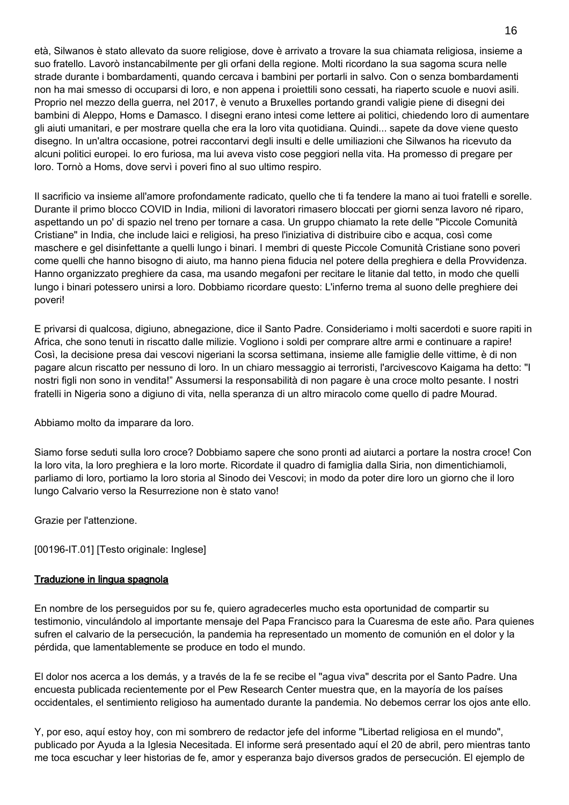età, Silwanos è stato allevato da suore religiose, dove è arrivato a trovare la sua chiamata religiosa, insieme a suo fratello. Lavorò instancabilmente per gli orfani della regione. Molti ricordano la sua sagoma scura nelle strade durante i bombardamenti, quando cercava i bambini per portarli in salvo. Con o senza bombardamenti non ha mai smesso di occuparsi di loro, e non appena i proiettili sono cessati, ha riaperto scuole e nuovi asili. Proprio nel mezzo della guerra, nel 2017, è venuto a Bruxelles portando grandi valigie piene di disegni dei bambini di Aleppo, Homs e Damasco. I disegni erano intesi come lettere ai politici, chiedendo loro di aumentare gli aiuti umanitari, e per mostrare quella che era la loro vita quotidiana. Quindi... sapete da dove viene questo disegno. In un'altra occasione, potrei raccontarvi degli insulti e delle umiliazioni che Silwanos ha ricevuto da alcuni politici europei. Io ero furiosa, ma lui aveva visto cose peggiori nella vita. Ha promesso di pregare per loro. Tornò a Homs, dove servì i poveri fino al suo ultimo respiro.

Il sacrificio va insieme all'amore profondamente radicato, quello che ti fa tendere la mano ai tuoi fratelli e sorelle. Durante il primo blocco COVID in India, milioni di lavoratori rimasero bloccati per giorni senza lavoro né riparo, aspettando un po' di spazio nel treno per tornare a casa. Un gruppo chiamato la rete delle "Piccole Comunità Cristiane" in India, che include laici e religiosi, ha preso l'iniziativa di distribuire cibo e acqua, così come maschere e gel disinfettante a quelli lungo i binari. I membri di queste Piccole Comunità Cristiane sono poveri come quelli che hanno bisogno di aiuto, ma hanno piena fiducia nel potere della preghiera e della Provvidenza. Hanno organizzato preghiere da casa, ma usando megafoni per recitare le litanie dal tetto, in modo che quelli lungo i binari potessero unirsi a loro. Dobbiamo ricordare questo: L'inferno trema al suono delle preghiere dei poveri!

E privarsi di qualcosa, digiuno, abnegazione, dice il Santo Padre. Consideriamo i molti sacerdoti e suore rapiti in Africa, che sono tenuti in riscatto dalle milizie. Vogliono i soldi per comprare altre armi e continuare a rapire! Così, la decisione presa dai vescovi nigeriani la scorsa settimana, insieme alle famiglie delle vittime, è di non pagare alcun riscatto per nessuno di loro. In un chiaro messaggio ai terroristi, l'arcivescovo Kaigama ha detto: "I nostri figli non sono in vendita!" Assumersi la responsabilità di non pagare è una croce molto pesante. I nostri fratelli in Nigeria sono a digiuno di vita, nella speranza di un altro miracolo come quello di padre Mourad.

Abbiamo molto da imparare da loro.

Siamo forse seduti sulla loro croce? Dobbiamo sapere che sono pronti ad aiutarci a portare la nostra croce! Con la loro vita, la loro preghiera e la loro morte. Ricordate il quadro di famiglia dalla Siria, non dimentichiamoli, parliamo di loro, portiamo la loro storia al Sinodo dei Vescovi; in modo da poter dire loro un giorno che il loro lungo Calvario verso la Resurrezione non è stato vano!

Grazie per l'attenzione.

[00196-IT.01] [Testo originale: Inglese]

### Traduzione in lingua spagnola

En nombre de los perseguidos por su fe, quiero agradecerles mucho esta oportunidad de compartir su testimonio, vinculándolo al importante mensaje del Papa Francisco para la Cuaresma de este año. Para quienes sufren el calvario de la persecución, la pandemia ha representado un momento de comunión en el dolor y la pérdida, que lamentablemente se produce en todo el mundo.

El dolor nos acerca a los demás, y a través de la fe se recibe el "agua viva" descrita por el Santo Padre. Una encuesta publicada recientemente por el Pew Research Center muestra que, en la mayoría de los países occidentales, el sentimiento religioso ha aumentado durante la pandemia. No debemos cerrar los ojos ante ello.

Y, por eso, aquí estoy hoy, con mi sombrero de redactor jefe del informe "Libertad religiosa en el mundo", publicado por Ayuda a la Iglesia Necesitada. El informe será presentado aquí el 20 de abril, pero mientras tanto me toca escuchar y leer historias de fe, amor y esperanza bajo diversos grados de persecución. El ejemplo de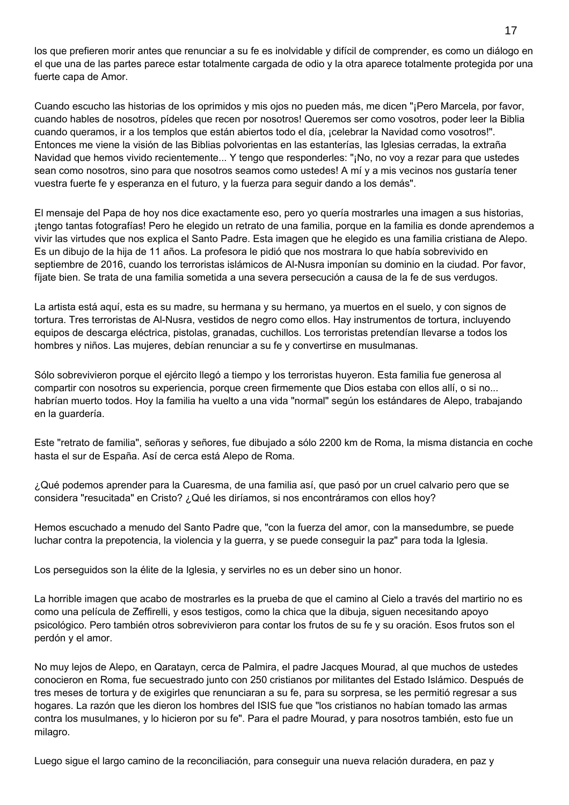los que prefieren morir antes que renunciar a su fe es inolvidable y difícil de comprender, es como un diálogo en el que una de las partes parece estar totalmente cargada de odio y la otra aparece totalmente protegida por una fuerte capa de Amor.

Cuando escucho las historias de los oprimidos y mis ojos no pueden más, me dicen "¡Pero Marcela, por favor, cuando hables de nosotros, pídeles que recen por nosotros! Queremos ser como vosotros, poder leer la Biblia cuando queramos, ir a los templos que están abiertos todo el día, ¡celebrar la Navidad como vosotros!". Entonces me viene la visión de las Biblias polvorientas en las estanterías, las Iglesias cerradas, la extraña Navidad que hemos vivido recientemente... Y tengo que responderles: "¡No, no voy a rezar para que ustedes sean como nosotros, sino para que nosotros seamos como ustedes! A mí y a mis vecinos nos gustaría tener vuestra fuerte fe y esperanza en el futuro, y la fuerza para seguir dando a los demás".

El mensaje del Papa de hoy nos dice exactamente eso, pero yo quería mostrarles una imagen a sus historias, ¡tengo tantas fotografías! Pero he elegido un retrato de una familia, porque en la familia es donde aprendemos a vivir las virtudes que nos explica el Santo Padre. Esta imagen que he elegido es una familia cristiana de Alepo. Es un dibujo de la hija de 11 años. La profesora le pidió que nos mostrara lo que había sobrevivido en septiembre de 2016, cuando los terroristas islámicos de Al-Nusra imponían su dominio en la ciudad. Por favor, fíjate bien. Se trata de una familia sometida a una severa persecución a causa de la fe de sus verdugos.

La artista está aquí, esta es su madre, su hermana y su hermano, ya muertos en el suelo, y con signos de tortura. Tres terroristas de Al-Nusra, vestidos de negro como ellos. Hay instrumentos de tortura, incluyendo equipos de descarga eléctrica, pistolas, granadas, cuchillos. Los terroristas pretendían llevarse a todos los hombres y niños. Las mujeres, debían renunciar a su fe y convertirse en musulmanas.

Sólo sobrevivieron porque el ejército llegó a tiempo y los terroristas huyeron. Esta familia fue generosa al compartir con nosotros su experiencia, porque creen firmemente que Dios estaba con ellos allí, o si no... habrían muerto todos. Hoy la familia ha vuelto a una vida "normal" según los estándares de Alepo, trabajando en la guardería.

Este "retrato de familia", señoras y señores, fue dibujado a sólo 2200 km de Roma, la misma distancia en coche hasta el sur de España. Así de cerca está Alepo de Roma.

¿Qué podemos aprender para la Cuaresma, de una familia así, que pasó por un cruel calvario pero que se considera "resucitada" en Cristo? ¿Qué les diríamos, si nos encontráramos con ellos hoy?

Hemos escuchado a menudo del Santo Padre que, "con la fuerza del amor, con la mansedumbre, se puede luchar contra la prepotencia, la violencia y la guerra, y se puede conseguir la paz" para toda la Iglesia.

Los perseguidos son la élite de la Iglesia, y servirles no es un deber sino un honor.

La horrible imagen que acabo de mostrarles es la prueba de que el camino al Cielo a través del martirio no es como una película de Zeffirelli, y esos testigos, como la chica que la dibuja, siguen necesitando apoyo psicológico. Pero también otros sobrevivieron para contar los frutos de su fe y su oración. Esos frutos son el perdón y el amor.

No muy lejos de Alepo, en Qaratayn, cerca de Palmira, el padre Jacques Mourad, al que muchos de ustedes conocieron en Roma, fue secuestrado junto con 250 cristianos por militantes del Estado Islámico. Después de tres meses de tortura y de exigirles que renunciaran a su fe, para su sorpresa, se les permitió regresar a sus hogares. La razón que les dieron los hombres del ISIS fue que "los cristianos no habían tomado las armas contra los musulmanes, y lo hicieron por su fe". Para el padre Mourad, y para nosotros también, esto fue un milagro.